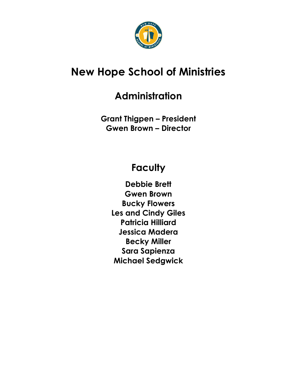

# **New Hope School of Ministries**

## **Administration**

**Grant Thigpen – President Gwen Brown – Director**

## **Faculty**

**Debbie Brett Gwen Brown Bucky Flowers Les and Cindy Giles Patricia Hilliard Jessica Madera Becky Miller Sara Sapienza Michael Sedgwick**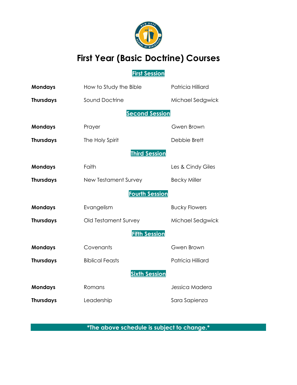

## **First Year (Basic Doctrine) Courses**

### **First Session**

| <b>Mondays</b>   | How to Study the Bible | Patricia Hilliard    |  |  |  |  |  |  |  |
|------------------|------------------------|----------------------|--|--|--|--|--|--|--|
| <b>Thursdays</b> | Sound Doctrine         | Michael Sedgwick     |  |  |  |  |  |  |  |
|                  | <b>Second Session</b>  |                      |  |  |  |  |  |  |  |
| <b>Mondays</b>   | Prayer                 | Gwen Brown           |  |  |  |  |  |  |  |
| <b>Thursdays</b> | The Holy Spirit        | Debbie Brett         |  |  |  |  |  |  |  |
|                  | <b>Third Session</b>   |                      |  |  |  |  |  |  |  |
| <b>Mondays</b>   | Faith                  | Les & Cindy Giles    |  |  |  |  |  |  |  |
| <b>Thursdays</b> | New Testament Survey   | <b>Becky Miller</b>  |  |  |  |  |  |  |  |
|                  | <b>Fourth Session</b>  |                      |  |  |  |  |  |  |  |
| <b>Mondays</b>   | Evangelism             | <b>Bucky Flowers</b> |  |  |  |  |  |  |  |
| <b>Thursdays</b> | Old Testament Survey   | Michael Sedgwick     |  |  |  |  |  |  |  |
|                  | <b>Fifth Session</b>   |                      |  |  |  |  |  |  |  |
| <b>Mondays</b>   | Covenants              | Gwen Brown           |  |  |  |  |  |  |  |
| <b>Thursdays</b> | <b>Biblical Feasts</b> | Patricia Hilliard    |  |  |  |  |  |  |  |
|                  | <b>Sixth Session</b>   |                      |  |  |  |  |  |  |  |
| <b>Mondays</b>   | Romans                 | Jessica Madera       |  |  |  |  |  |  |  |
| <b>Thursdays</b> | Leadership             | Sara Sapienza        |  |  |  |  |  |  |  |

**\*The above schedule is subject to change.\***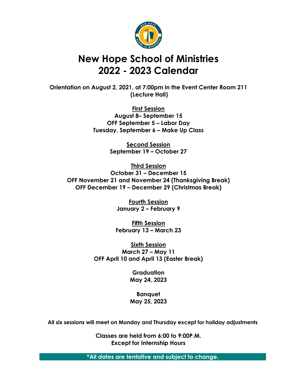

## **New Hope School of Ministries 2022 - 2023 Calendar**

**Orientation on August 2, 2021, at 7:00pm in the Event Center Room 211 (Lecture Hall)**

> **First Session August 8– September 15 OFF September 5 – Labor Day Tuesday, September 6 – Make Up Class**

> > **Second Session September 19 – October 27**

**Third Session October 31 – December 15 OFF November 21 and November 24 (Thanksgiving Break) OFF December 19 – December 29 (Christmas Break)**

> **Fourth Session January 2 – February 9**

**Fifth Session February 13 – March 23**

**Sixth Session March 27 – May 11 OFF April 10 and April 13 (Easter Break)**

> **Graduation May 24, 2023**

> **Banquet May 25, 2023**

**All six sessions will meet on Monday and Thursday except for holiday adjustments**

**Classes are held from 6:00 to 9:00P.M. Except for Internship Hours**

**\*All dates are tentative and subject to change.**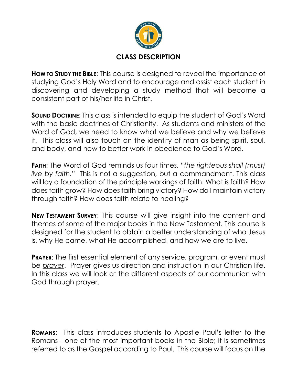

**HOW TO STUDY THE BIBLE**: This course is designed to reveal the importance of studying God's Holy Word and to encourage and assist each student in discovering and developing a study method that will become a consistent part of his/her life in Christ.

**SOUND DOCTRINE:** This class is intended to equip the student of God's Word with the basic doctrines of Christianity. As students and ministers of the Word of God, we need to know what we believe and why we believe it. This class will also touch on the identity of man as being spirit, soul, and body, and how to better work in obedience to God's Word.

**FAITH**: The Word of God reminds us four times, "*the righteous shall (must) live by faith.*" This is not a suggestion, but a commandment. This class will lay a foundation of the principle workings of faith: What is faith? How does faith grow? How does faith bring victory? How do I maintain victory through faith? How does faith relate to healing?

**NEW TESTAMENT SURVEY**: This course will give insight into the content and themes of some of the major books in the New Testament. This course is designed for the student to obtain a better understanding of who Jesus is, why He came, what He accomplished, and how we are to live.

**PRAYER**: The first essential element of any service, program, or event must be *prayer*. Prayer gives us direction and instruction in our Christian life. In this class we will look at the different aspects of our communion with God through prayer.

**ROMANS**: This class introduces students to Apostle Paul's letter to the Romans - one of the most important books in the Bible; it is sometimes referred to as the Gospel according to Paul. This course will focus on the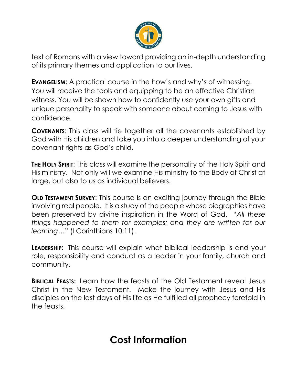

text of Romans with a view toward providing an in-depth understanding of its primary themes and application to our lives.

**EVANGELISM:** A practical course in the how's and why's of witnessing. You will receive the tools and equipping to be an effective Christian witness. You will be shown how to confidently use your own gifts and unique personality to speak with someone about coming to Jesus with confidence.

**COVENANTS**: This class will tie together all the covenants established by God with His children and take you into a deeper understanding of your covenant rights as God's child.

**THE HOLY SPIRIT:** This class will examine the personality of the Holy Spirit and His ministry. Not only will we examine His ministry to the Body of Christ at large, but also to us as individual believers.

**OLD TESTAMENT SURVEY:** This course is an exciting journey through the Bible involving real people. It is a study of the people whose biographies have been preserved by divine inspiration in the Word of God. "*All these things happened to them for examples; and they are written for our learning…*" (I Corinthians 10:11).

**LEADERSHIP:** This course will explain what biblical leadership is and your role, responsibility and conduct as a leader in your family, church and community.

**BIBLICAL FEASTS:** Learn how the feasts of the Old Testament reveal Jesus Christ in the New Testament. Make the journey with Jesus and His disciples on the last days of His life as He fulfilled all prophecy foretold in the feasts.

## **Cost Information**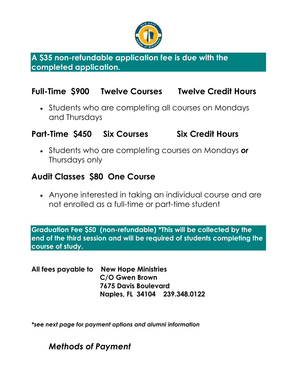

**A \$35 non-refundable application fee is due with the completed application.** 

### **Full-Time \$900 Twelve Courses Twelve Credit Hours**

• Students who are completing all courses on Mondays and Thursdays

### **Part-Time \$450 Six Courses Six Credit Hours**

• Students who are completing courses on Mondays *or* Thursdays only

### **Audit Classes \$80 One Course**

• Anyone interested in taking an individual course and are not enrolled as a full-time or part-time student

**Graduation Fee \$50 (non-refundable) \*This will be collected by the end of the third session and will be required of students completing the course of study.**

**All fees payable to New Hope Ministries C/O Gwen Brown 7675 Davis Boulevard Naples, FL 34104 239.348.0122**

*\*see next page for payment options and alumni information*

### *Methods of Payment*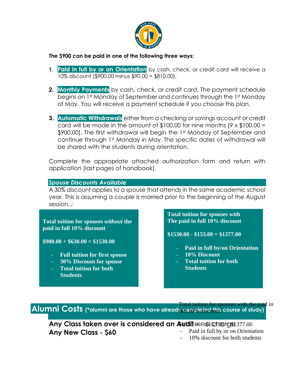

#### **The \$900 can be paid in one of the following three ways:**

- **1. Paid in full by or on Orientation** by cash, check, or credit card will receive a 10% discount (\$900.00 minus \$90.00 = \$810.00).
- **2. Monthly Payments** by cash, check, or credit card. The payment schedule begins on 1st Monday of September and continues through the 1st Monday of May. You will receive a payment schedule if you choose this plan.
- **3. Automatic Withdrawals** either from a checking or savings account or credit card will be made in the amount of \$100.00 for nine months (9 x \$100.00 = \$900.00). The first withdrawal will begin the 1st Monday of September and continue through 1st Monday in May. The specific dates of withdrawal will be shared with the students during orientation.

Complete the appropriate attached authorization form and return with application (last pages of handbook).

#### *Spouse Discounts Available*

A 30% discount applies to a spouse that attends in the same academic school year. This is assuming a couple is married prior to the beginning of the August session..;

**Total tuition for spouses** *without* **the paid in full 10% discount**

**\$900.00 + \$630.00 = \$1530.00**

ī

- **Full tuition for first spouse**
- **30% Discount for spouse**
- **Total tuition for both Students**

**Total tuition for spouses with The paid in full 10% discount**

**\$1530.00 - \$153.00 = \$1377.00**

- **Paid in full by/on Orientation**
- **10% Discount**
- **Total tuition for both Students**

**Alumni Costs** (\*alumni are those who have already promisted this course of study) Total tuition for spouses with the paid in

Any Class taken over is considered an Audit. Hand shorge 377.00 **Any New Class - \$60** Paid in full by or on Orientation

10% discount for both students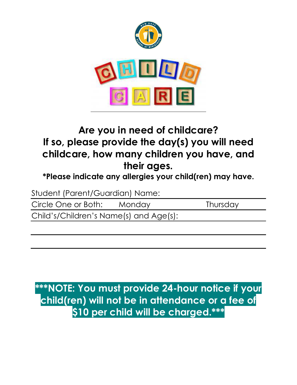

# **Are you in need of childcare? If so, please provide the day(s) you will need childcare, how many children you have, and their ages.**

**\*Please indicate any allergies your child(ren) may have.**

Student (Parent/Guardian) Name:

Circle One or Both: Monday Thursday

Child's/Children's Name(s) and Age(s):

**\*\*\*NOTE: You must provide 24-hour notice if your child(ren) will not be in attendance or a fee of \$10 per child will be charged.\*\*\***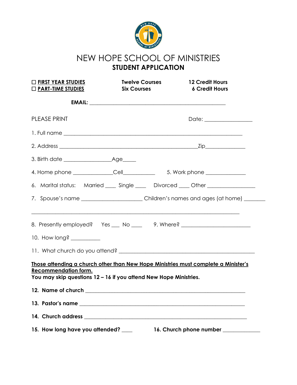

### NEW HOPE SCHOOL OF MINISTRIES **STUDENT APPLICATION**

| <b>DEIRST YEAR STUDIES</b><br><b>Twelve Courses</b><br>$\Box$ PART-TIME STUDIES<br><b>Six Courses</b>                                                                                  |  | <b>12 Credit Hours</b><br><b>6 Credit Hours</b>                                       |
|----------------------------------------------------------------------------------------------------------------------------------------------------------------------------------------|--|---------------------------------------------------------------------------------------|
|                                                                                                                                                                                        |  |                                                                                       |
| PLEASE PRINT                                                                                                                                                                           |  | Date: _________________                                                               |
|                                                                                                                                                                                        |  |                                                                                       |
|                                                                                                                                                                                        |  |                                                                                       |
|                                                                                                                                                                                        |  |                                                                                       |
|                                                                                                                                                                                        |  |                                                                                       |
|                                                                                                                                                                                        |  | 6. Marital status: Married ____ Single ____ Divorced ____ Other _______________       |
|                                                                                                                                                                                        |  | 7. Spouse's name _________________________Children's names and ages (at home) _______ |
|                                                                                                                                                                                        |  | 8. Presently employed? Yes ___ No ____ 9. Where? _______________________________      |
|                                                                                                                                                                                        |  |                                                                                       |
|                                                                                                                                                                                        |  |                                                                                       |
| Those attending a church other than New Hope Ministries must complete a Minister's<br><b>Recommendation form.</b><br>You may skip questions 12 - 16 if you attend New Hope Ministries. |  |                                                                                       |
|                                                                                                                                                                                        |  |                                                                                       |
|                                                                                                                                                                                        |  |                                                                                       |
|                                                                                                                                                                                        |  |                                                                                       |
|                                                                                                                                                                                        |  |                                                                                       |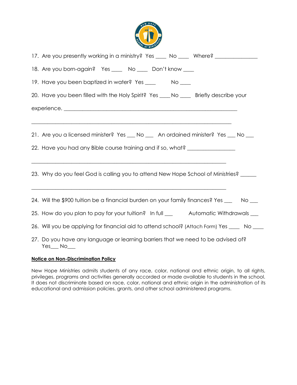

| 17. Are you presently working in a ministry? Yes ____ No ____ Where? ___________           |
|--------------------------------------------------------------------------------------------|
| 18. Are you born-again? Yes ____ No ____ Don't know ___                                    |
|                                                                                            |
| 20. Have you been filled with the Holy Spirit? Yes ____ No ____ Briefly describe your      |
|                                                                                            |
| 21. Are you a licensed minister? Yes __ No __ An ordained minister? Yes __ No __           |
| 22. Have you had any Bible course training and if so, what? ____________________           |
| 23. Why do you feel God is calling you to attend New Hope School of Ministries? _____      |
| 24. Will the \$900 tuition be a financial burden on your family finances? Yes ___ No __    |
| 25. How do you plan to pay for your tuition? In full _________ Automatic Withdrawals ___   |
| 26. Will you be applying for financial aid to attend school? (Attach Form) Yes ____ No ___ |
| 27. Do you have any language or learning barriers that we need to be advised of?           |

#### **Notice on Non-Discrimination Policy**

New Hope Ministries admits students of any race, color, national and ethnic origin, to all rights, privileges, programs and activities generally accorded or made available to students in the school. It does not discriminate based on race, color, national and ethnic origin in the administration of its educational and admission policies, grants, and other school administered programs.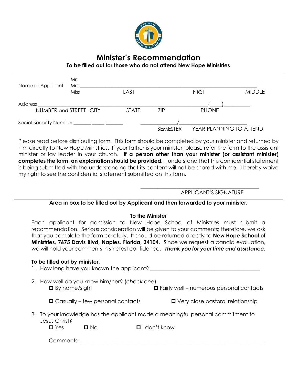

### **Minister's Recommendation**

**To be filled out for those who do not attend New Hope Ministries**

| Name of Applicant | Mr.<br>Mrs.<br>Miss    | LAST         |                 | <b>FIRST</b>            | <b>MIDDLE</b> |
|-------------------|------------------------|--------------|-----------------|-------------------------|---------------|
| Address           |                        |              |                 |                         |               |
|                   | NUMBER and STREET CITY | <b>STATE</b> | ZIP             | <b>PHONE</b>            |               |
|                   |                        |              | <b>SEMESTER</b> | YEAR PLANNING TO ATTEND |               |

Please read before distributing form. This form should be completed by your minister and returned by him directly to New Hope Ministries. If your father is your minister, please refer the form to the assistant minister or lay leader in your church. **If a person other than your minister (or assistant minister) completes the form, an explanation should be provided.** I understand that this confidential statement is being submitted with the understanding that its content will not be shared with me. I hereby waive my right to see the confidential statement submitted on this form.

APPLICANT'S SIGNATURE

\_\_\_\_\_\_\_\_\_\_\_\_\_\_\_\_\_\_\_\_\_\_\_\_\_\_\_\_\_\_\_\_\_\_\_\_\_\_\_\_\_\_\_\_\_\_\_\_\_

#### **Area in box to be filled out by Applicant and then forwarded to your minister.**

#### **To the Minister**

Each applicant for admission to New Hope School of Ministries must submit a recommendation. Serious consideration will be given to your comments; therefore, we ask that you complete the form carefully. It should be returned directly to **New Hope School of Ministries, 7675 Davis Blvd, Naples, Florida, 34104.** Since we request a candid evaluation, we will hold your comments in strictest confidence. *Thank you for your time and assistance.*

#### **To be filled out by minister**:

|                                                                                                  |                      | 1. How long have you known the applicant?    |  |                                                   |
|--------------------------------------------------------------------------------------------------|----------------------|----------------------------------------------|--|---------------------------------------------------|
|                                                                                                  | $\Box$ By name/sight | 2. How well do you know him/her? (check one) |  | <b>O</b> Fairly well - numerous personal contacts |
|                                                                                                  |                      | $\Box$ Casually – few personal contacts      |  | $\blacksquare$ Very close pastoral relationship   |
| 3. To your knowledge has the applicant made a meaningful personal commitment to<br>Jesus Christ? |                      |                                              |  |                                                   |
|                                                                                                  | $\blacksquare$ Yes   | $\Box$ No                                    |  | $\blacksquare$ I don't know                       |
|                                                                                                  | Comments:            |                                              |  |                                                   |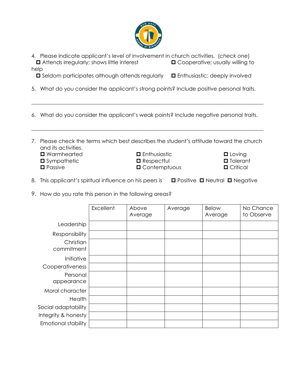

4. Please indicate applicant's level of involvement in church activities. (*check one*) **□** Attends irregularly; shows little interest **□** Cooperative; usually willing to help

□ Seldom participates although attends regularly □ Enthusiastic; deeply involved

- 5. What do you consider the applicant's strong points? Include positive personal traits.
- 6. What do you consider the applicant's weak points? Include negative personal traits.

\_\_\_\_\_\_\_\_\_\_\_\_\_\_\_\_\_\_\_\_\_\_\_\_\_\_\_\_\_\_\_\_\_\_\_\_\_\_\_\_\_\_\_\_\_\_\_\_\_\_\_\_\_\_\_\_\_\_\_\_\_\_\_\_\_\_\_\_\_\_\_\_\_\_\_\_\_\_\_\_\_\_\_\_\_\_\_

7. Please check the terms which best describes the student's attitude toward the church and its activities.

\_\_\_\_\_\_\_\_\_\_\_\_\_\_\_\_\_\_\_\_\_\_\_\_\_\_\_\_\_\_\_\_\_\_\_\_\_\_\_\_\_\_\_\_\_\_\_\_\_\_\_\_\_\_\_\_\_\_\_\_\_\_\_\_\_\_\_\_\_\_\_\_\_\_\_\_\_\_\_\_\_\_\_\_\_\_\_

- Warmhearted Loving Enthusiastic Loving **O** Sympathetic **C** Respectful **C** Tolerant
	-
	-
- **O** Passive **C** Contemptuous **C** Critical
- -
- 8. This applicant's spiritual influence on his peers is  $\Box$  Positive  $\Box$  Neutral  $\Box$  Negative
- 9. How do you rate this person in the following areas?

|                            | Excellent | Above<br>Average | Average | <b>Below</b><br>Average | No Chance<br>to Observe |
|----------------------------|-----------|------------------|---------|-------------------------|-------------------------|
| Leadership                 |           |                  |         |                         |                         |
| Responsibility             |           |                  |         |                         |                         |
| Christian<br>commitment    |           |                  |         |                         |                         |
| Initiative                 |           |                  |         |                         |                         |
| Cooperativeness            |           |                  |         |                         |                         |
| Personal<br>appearance     |           |                  |         |                         |                         |
| Moral character            |           |                  |         |                         |                         |
| Health                     |           |                  |         |                         |                         |
| Social adaptability        |           |                  |         |                         |                         |
| Integrity & honesty        |           |                  |         |                         |                         |
| <b>Emotional stability</b> |           |                  |         |                         |                         |